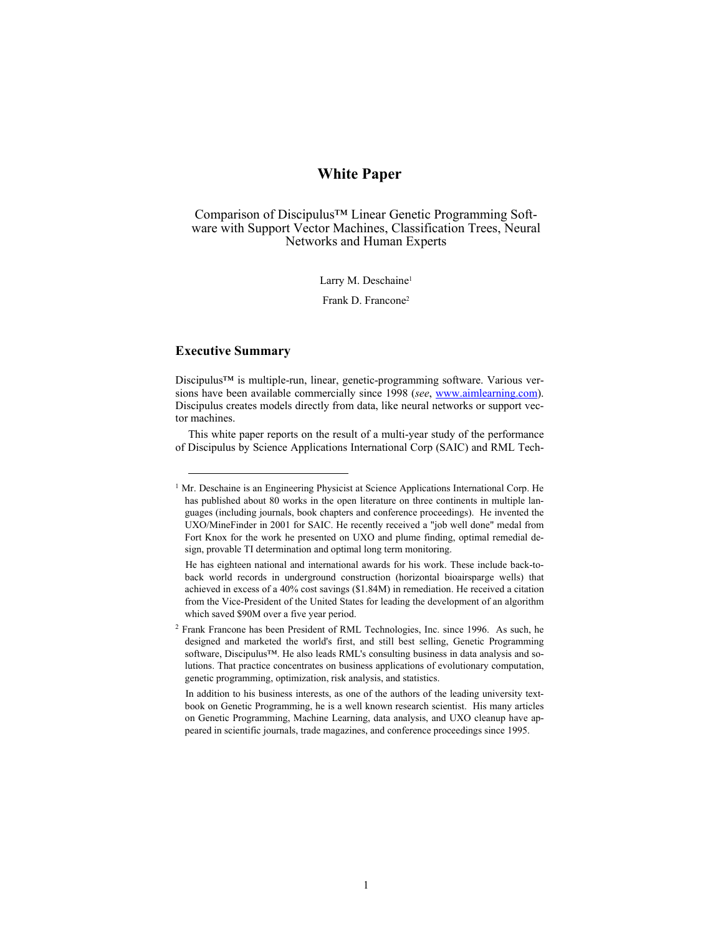# **White Paper**

Comparison of Discipulus™ Linear Genetic Programming Software with Support Vector Machines, Classification Trees, Neural Networks and Human Experts

Larry M. Deschaine<sup>1</sup>

Frank D. Francone2

# **Executive Summary**

l

Discipulus™ is multiple-run, linear, genetic-programming software. Various versions have been available commercially since 1998 (*see*, www.aimlearning.com). Discipulus creates models directly from data, like neural networks or support vector machines.

This white paper reports on the result of a multi-year study of the performance of Discipulus by Science Applications International Corp (SAIC) and RML Tech-

<sup>&</sup>lt;sup>1</sup> Mr. Deschaine is an Engineering Physicist at Science Applications International Corp. He has published about 80 works in the open literature on three continents in multiple languages (including journals, book chapters and conference proceedings). He invented the UXO/MineFinder in 2001 for SAIC. He recently received a "job well done" medal from Fort Knox for the work he presented on UXO and plume finding, optimal remedial design, provable TI determination and optimal long term monitoring.

He has eighteen national and international awards for his work. These include back-toback world records in underground construction (horizontal bioairsparge wells) that achieved in excess of a 40% cost savings (\$1.84M) in remediation. He received a citation from the Vice-President of the United States for leading the development of an algorithm which saved \$90M over a five year period.

<sup>2</sup> Frank Francone has been President of RML Technologies, Inc. since 1996. As such, he designed and marketed the world's first, and still best selling, Genetic Programming software, Discipulus™. He also leads RML's consulting business in data analysis and solutions. That practice concentrates on business applications of evolutionary computation, genetic programming, optimization, risk analysis, and statistics.

In addition to his business interests, as one of the authors of the leading university textbook on Genetic Programming, he is a well known research scientist. His many articles on Genetic Programming, Machine Learning, data analysis, and UXO cleanup have appeared in scientific journals, trade magazines, and conference proceedings since 1995.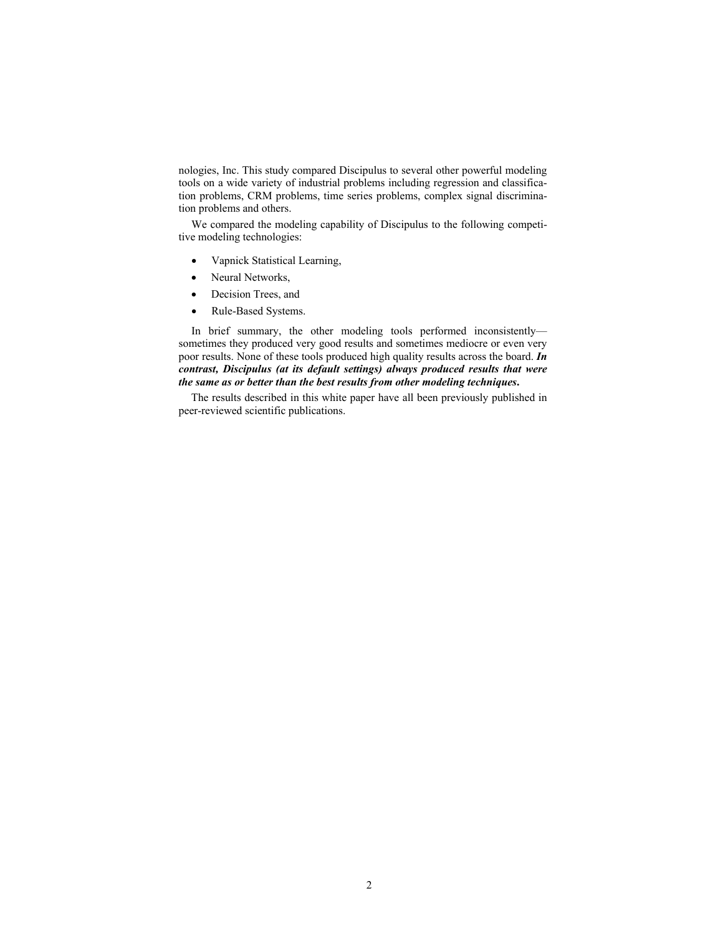nologies, Inc. This study compared Discipulus to several other powerful modeling tools on a wide variety of industrial problems including regression and classification problems, CRM problems, time series problems, complex signal discrimination problems and others.

We compared the modeling capability of Discipulus to the following competitive modeling technologies:

- Vapnick Statistical Learning,
- Neural Networks,
- Decision Trees, and
- Rule-Based Systems.

In brief summary, the other modeling tools performed inconsistently sometimes they produced very good results and sometimes mediocre or even very poor results. None of these tools produced high quality results across the board. *In contrast, Discipulus (at its default settings) always produced results that were the same as or better than the best results from other modeling techniques***.**

The results described in this white paper have all been previously published in peer-reviewed scientific publications.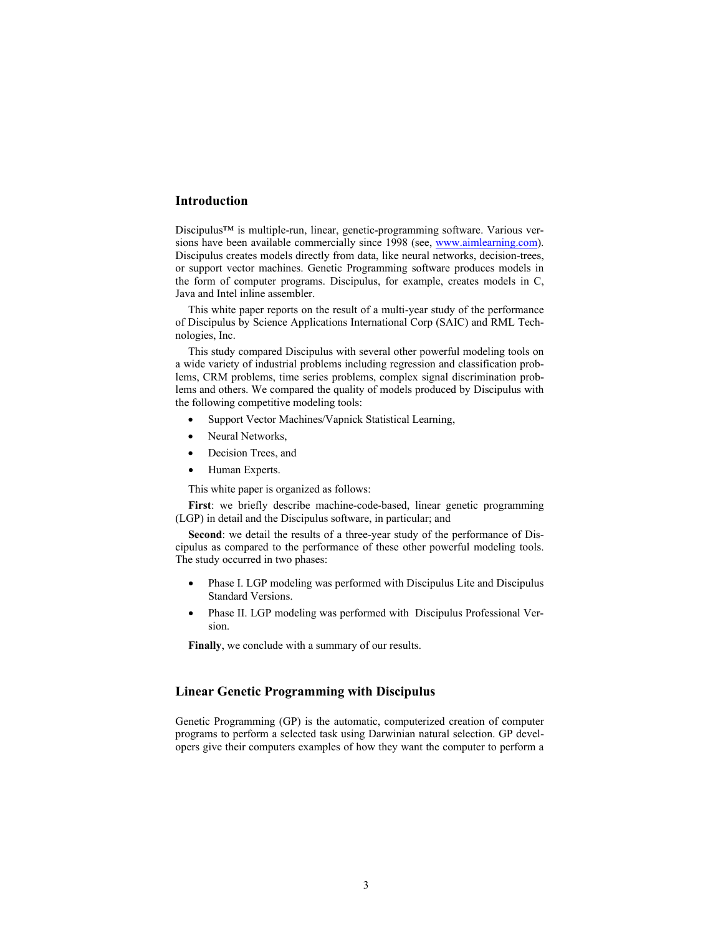# **Introduction**

Discipulus™ is multiple-run, linear, genetic-programming software. Various versions have been available commercially since 1998 (see, www.aimlearning.com). Discipulus creates models directly from data, like neural networks, decision-trees, or support vector machines. Genetic Programming software produces models in the form of computer programs. Discipulus, for example, creates models in C, Java and Intel inline assembler.

This white paper reports on the result of a multi-year study of the performance of Discipulus by Science Applications International Corp (SAIC) and RML Technologies, Inc.

This study compared Discipulus with several other powerful modeling tools on a wide variety of industrial problems including regression and classification problems, CRM problems, time series problems, complex signal discrimination problems and others. We compared the quality of models produced by Discipulus with the following competitive modeling tools:

- Support Vector Machines/Vapnick Statistical Learning,
- Neural Networks,
- Decision Trees, and
- Human Experts.

This white paper is organized as follows:

**First**: we briefly describe machine-code-based, linear genetic programming (LGP) in detail and the Discipulus software, in particular; and

**Second**: we detail the results of a three-year study of the performance of Discipulus as compared to the performance of these other powerful modeling tools. The study occurred in two phases:

- Phase I. LGP modeling was performed with Discipulus Lite and Discipulus Standard Versions.
- Phase II. LGP modeling was performed with Discipulus Professional Version.

**Finally**, we conclude with a summary of our results.

# **Linear Genetic Programming with Discipulus**

Genetic Programming (GP) is the automatic, computerized creation of computer programs to perform a selected task using Darwinian natural selection. GP developers give their computers examples of how they want the computer to perform a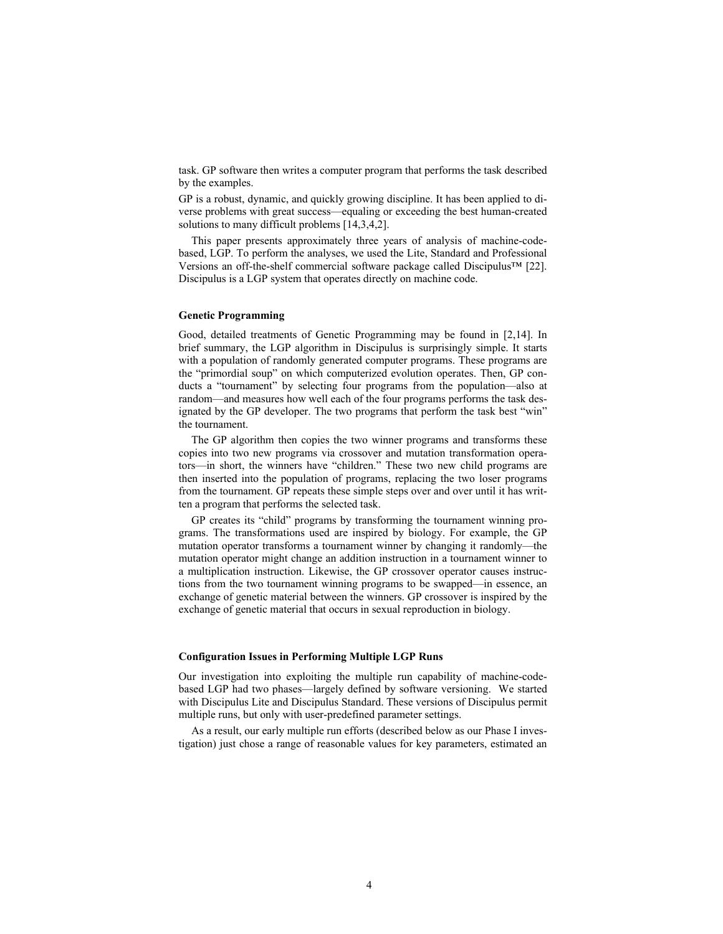task. GP software then writes a computer program that performs the task described by the examples.

GP is a robust, dynamic, and quickly growing discipline. It has been applied to diverse problems with great success—equaling or exceeding the best human-created solutions to many difficult problems [14,3,4,2].

This paper presents approximately three years of analysis of machine-codebased, LGP. To perform the analyses, we used the Lite, Standard and Professional Versions an off-the-shelf commercial software package called Discipulus™ [22]. Discipulus is a LGP system that operates directly on machine code.

### **Genetic Programming**

Good, detailed treatments of Genetic Programming may be found in [2,14]. In brief summary, the LGP algorithm in Discipulus is surprisingly simple. It starts with a population of randomly generated computer programs. These programs are the "primordial soup" on which computerized evolution operates. Then, GP conducts a "tournament" by selecting four programs from the population—also at random—and measures how well each of the four programs performs the task designated by the GP developer. The two programs that perform the task best "win" the tournament.

The GP algorithm then copies the two winner programs and transforms these copies into two new programs via crossover and mutation transformation operators—in short, the winners have "children." These two new child programs are then inserted into the population of programs, replacing the two loser programs from the tournament. GP repeats these simple steps over and over until it has written a program that performs the selected task.

GP creates its "child" programs by transforming the tournament winning programs. The transformations used are inspired by biology. For example, the GP mutation operator transforms a tournament winner by changing it randomly—the mutation operator might change an addition instruction in a tournament winner to a multiplication instruction. Likewise, the GP crossover operator causes instructions from the two tournament winning programs to be swapped—in essence, an exchange of genetic material between the winners. GP crossover is inspired by the exchange of genetic material that occurs in sexual reproduction in biology.

### **Configuration Issues in Performing Multiple LGP Runs**

Our investigation into exploiting the multiple run capability of machine-codebased LGP had two phases—largely defined by software versioning. We started with Discipulus Lite and Discipulus Standard. These versions of Discipulus permit multiple runs, but only with user-predefined parameter settings.

As a result, our early multiple run efforts (described below as our Phase I investigation) just chose a range of reasonable values for key parameters, estimated an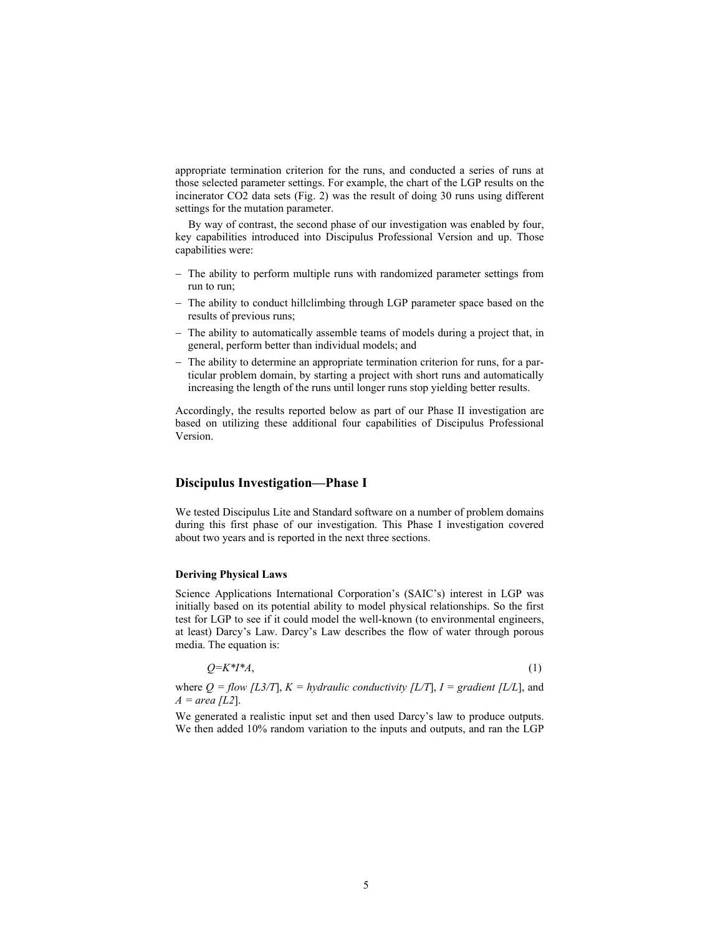appropriate termination criterion for the runs, and conducted a series of runs at those selected parameter settings. For example, the chart of the LGP results on the incinerator CO2 data sets (Fig. 2) was the result of doing 30 runs using different settings for the mutation parameter.

By way of contrast, the second phase of our investigation was enabled by four, key capabilities introduced into Discipulus Professional Version and up. Those capabilities were:

- − The ability to perform multiple runs with randomized parameter settings from run to run;
- − The ability to conduct hillclimbing through LGP parameter space based on the results of previous runs;
- − The ability to automatically assemble teams of models during a project that, in general, perform better than individual models; and
- − The ability to determine an appropriate termination criterion for runs, for a particular problem domain, by starting a project with short runs and automatically increasing the length of the runs until longer runs stop yielding better results.

Accordingly, the results reported below as part of our Phase II investigation are based on utilizing these additional four capabilities of Discipulus Professional Version.

## **Discipulus Investigation—Phase I**

We tested Discipulus Lite and Standard software on a number of problem domains during this first phase of our investigation. This Phase I investigation covered about two years and is reported in the next three sections.

### **Deriving Physical Laws**

Science Applications International Corporation's (SAIC's) interest in LGP was initially based on its potential ability to model physical relationships. So the first test for LGP to see if it could model the well-known (to environmental engineers, at least) Darcy's Law. Darcy's Law describes the flow of water through porous media. The equation is:

$$
Q=K^*I^*A,\tag{1}
$$

where  $Q = flow$  [L3/T],  $K = hydraulic$  *conductivity* [L/T],  $I = gradient$  [L/L], and  $A = \text{area } [L2]$ .

We generated a realistic input set and then used Darcy's law to produce outputs. We then added 10% random variation to the inputs and outputs, and ran the LGP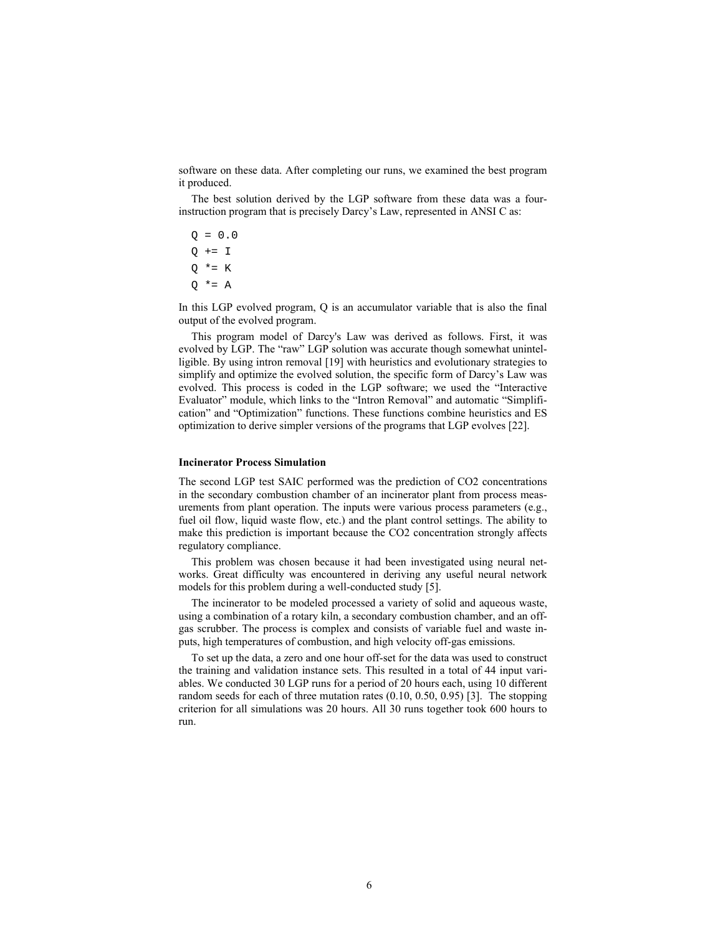software on these data. After completing our runs, we examined the best program it produced.

The best solution derived by the LGP software from these data was a fourinstruction program that is precisely Darcy's Law, represented in ANSI C as:

 $Q = 0.0$  $Q + = I$  $Q * = K$  $Q * = A$ 

In this LGP evolved program, Q is an accumulator variable that is also the final output of the evolved program.

This program model of Darcy's Law was derived as follows. First, it was evolved by LGP. The "raw" LGP solution was accurate though somewhat unintelligible. By using intron removal [19] with heuristics and evolutionary strategies to simplify and optimize the evolved solution, the specific form of Darcy's Law was evolved. This process is coded in the LGP software; we used the "Interactive Evaluator" module, which links to the "Intron Removal" and automatic "Simplification" and "Optimization" functions. These functions combine heuristics and ES optimization to derive simpler versions of the programs that LGP evolves [22].

#### **Incinerator Process Simulation**

The second LGP test SAIC performed was the prediction of CO2 concentrations in the secondary combustion chamber of an incinerator plant from process measurements from plant operation. The inputs were various process parameters (e.g., fuel oil flow, liquid waste flow, etc.) and the plant control settings. The ability to make this prediction is important because the CO2 concentration strongly affects regulatory compliance.

This problem was chosen because it had been investigated using neural networks. Great difficulty was encountered in deriving any useful neural network models for this problem during a well-conducted study [5].

The incinerator to be modeled processed a variety of solid and aqueous waste, using a combination of a rotary kiln, a secondary combustion chamber, and an offgas scrubber. The process is complex and consists of variable fuel and waste inputs, high temperatures of combustion, and high velocity off-gas emissions.

To set up the data, a zero and one hour off-set for the data was used to construct the training and validation instance sets. This resulted in a total of 44 input variables. We conducted 30 LGP runs for a period of 20 hours each, using 10 different random seeds for each of three mutation rates (0.10, 0.50, 0.95) [3]. The stopping criterion for all simulations was 20 hours. All 30 runs together took 600 hours to run.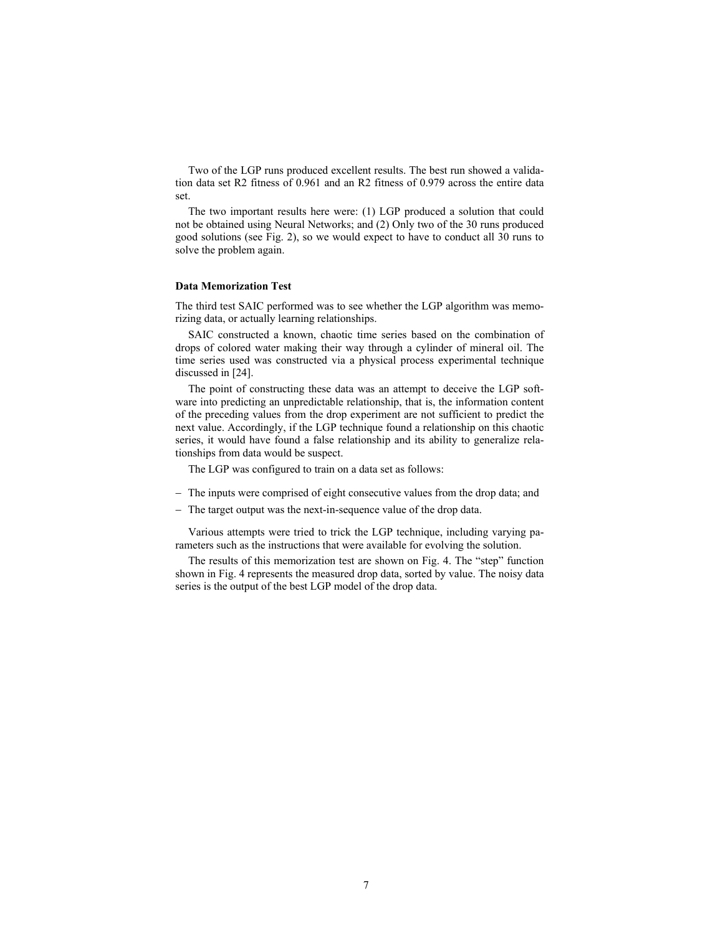Two of the LGP runs produced excellent results. The best run showed a validation data set R2 fitness of 0.961 and an R2 fitness of 0.979 across the entire data set.

The two important results here were: (1) LGP produced a solution that could not be obtained using Neural Networks; and (2) Only two of the 30 runs produced good solutions (see Fig. 2), so we would expect to have to conduct all 30 runs to solve the problem again.

### **Data Memorization Test**

The third test SAIC performed was to see whether the LGP algorithm was memorizing data, or actually learning relationships.

SAIC constructed a known, chaotic time series based on the combination of drops of colored water making their way through a cylinder of mineral oil. The time series used was constructed via a physical process experimental technique discussed in [24].

The point of constructing these data was an attempt to deceive the LGP software into predicting an unpredictable relationship, that is, the information content of the preceding values from the drop experiment are not sufficient to predict the next value. Accordingly, if the LGP technique found a relationship on this chaotic series, it would have found a false relationship and its ability to generalize relationships from data would be suspect.

The LGP was configured to train on a data set as follows:

- − The inputs were comprised of eight consecutive values from the drop data; and
- − The target output was the next-in-sequence value of the drop data.

Various attempts were tried to trick the LGP technique, including varying parameters such as the instructions that were available for evolving the solution.

The results of this memorization test are shown on Fig. 4. The "step" function shown in Fig. 4 represents the measured drop data, sorted by value. The noisy data series is the output of the best LGP model of the drop data.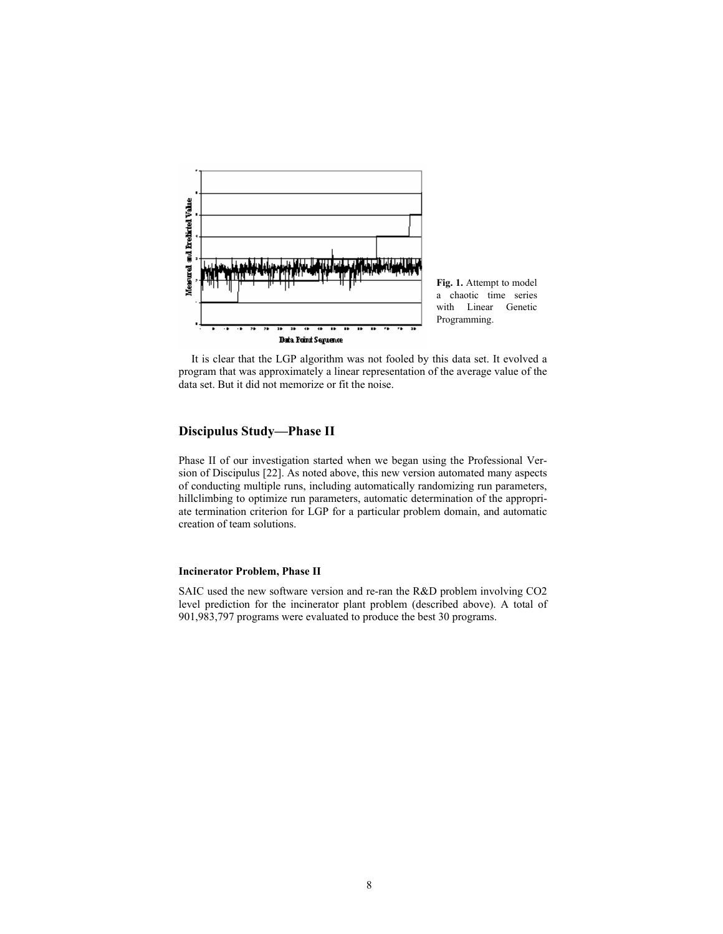

**Fig. 1.** Attempt to model a chaotic time series with Linear Genetic Programming.

It is clear that the LGP algorithm was not fooled by this data set. It evolved a program that was approximately a linear representation of the average value of the data set. But it did not memorize or fit the noise.

# **Discipulus Study—Phase II**

Phase II of our investigation started when we began using the Professional Version of Discipulus [22]. As noted above, this new version automated many aspects of conducting multiple runs, including automatically randomizing run parameters, hillclimbing to optimize run parameters, automatic determination of the appropriate termination criterion for LGP for a particular problem domain, and automatic creation of team solutions.

## **Incinerator Problem, Phase II**

SAIC used the new software version and re-ran the R&D problem involving CO2 level prediction for the incinerator plant problem (described above). A total of 901,983,797 programs were evaluated to produce the best 30 programs.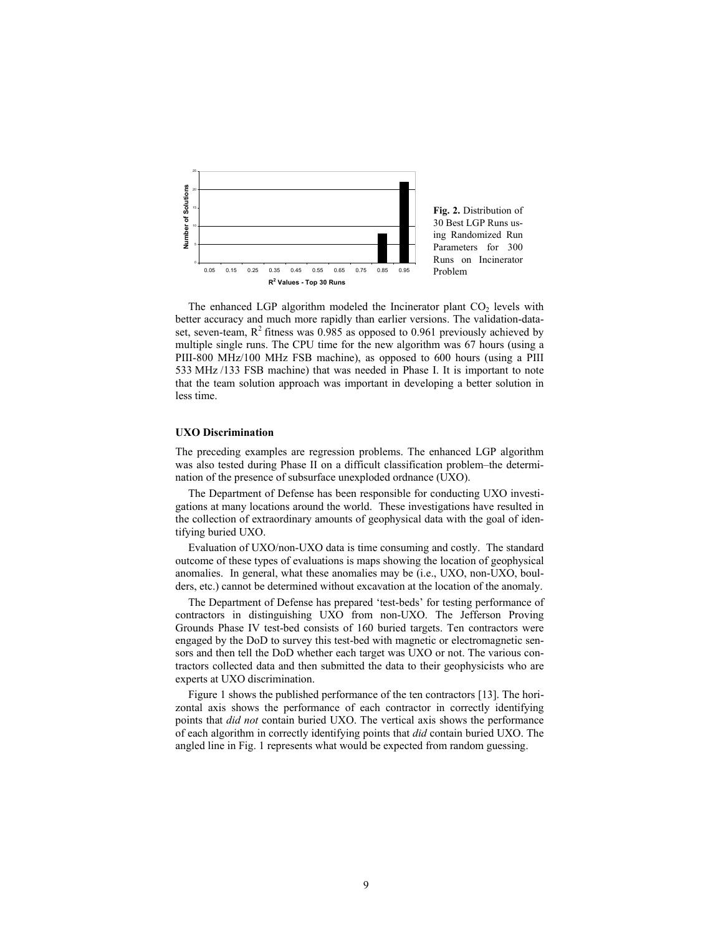

The enhanced LGP algorithm modeled the Incinerator plant  $CO<sub>2</sub>$  levels with better accuracy and much more rapidly than earlier versions. The validation-dataset, seven-team,  $R^2$  fitness was 0.985 as opposed to 0.961 previously achieved by multiple single runs. The CPU time for the new algorithm was 67 hours (using a PIII-800 MHz/100 MHz FSB machine), as opposed to 600 hours (using a PIII 533 MHz /133 FSB machine) that was needed in Phase I. It is important to note that the team solution approach was important in developing a better solution in less time.

#### **UXO Discrimination**

The preceding examples are regression problems. The enhanced LGP algorithm was also tested during Phase II on a difficult classification problem–the determination of the presence of subsurface unexploded ordnance (UXO).

The Department of Defense has been responsible for conducting UXO investigations at many locations around the world. These investigations have resulted in the collection of extraordinary amounts of geophysical data with the goal of identifying buried UXO.

Evaluation of UXO/non-UXO data is time consuming and costly. The standard outcome of these types of evaluations is maps showing the location of geophysical anomalies. In general, what these anomalies may be (i.e., UXO, non-UXO, boulders, etc.) cannot be determined without excavation at the location of the anomaly.

The Department of Defense has prepared 'test-beds' for testing performance of contractors in distinguishing UXO from non-UXO. The Jefferson Proving Grounds Phase IV test-bed consists of 160 buried targets. Ten contractors were engaged by the DoD to survey this test-bed with magnetic or electromagnetic sensors and then tell the DoD whether each target was UXO or not. The various contractors collected data and then submitted the data to their geophysicists who are experts at UXO discrimination.

Figure 1 shows the published performance of the ten contractors [13]. The horizontal axis shows the performance of each contractor in correctly identifying points that *did not* contain buried UXO. The vertical axis shows the performance of each algorithm in correctly identifying points that *did* contain buried UXO. The angled line in Fig. 1 represents what would be expected from random guessing.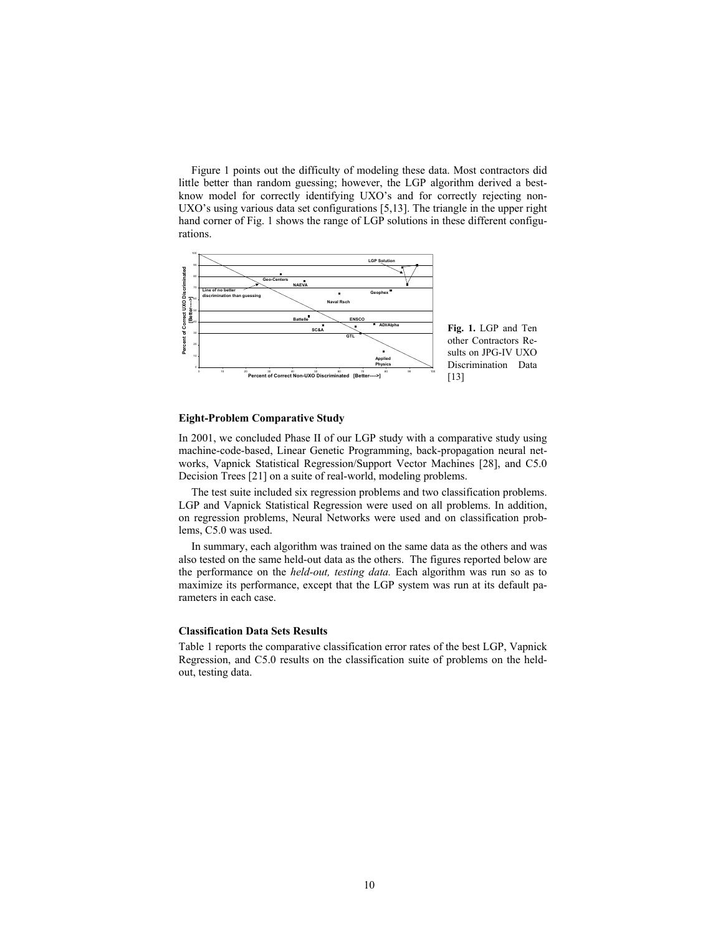Figure 1 points out the difficulty of modeling these data. Most contractors did little better than random guessing; however, the LGP algorithm derived a bestknow model for correctly identifying UXO's and for correctly rejecting non-UXO's using various data set configurations [5,13]. The triangle in the upper right hand corner of Fig. 1 shows the range of LGP solutions in these different configurations.



### **Eight-Problem Comparative Study**

In 2001, we concluded Phase II of our LGP study with a comparative study using machine-code-based, Linear Genetic Programming, back-propagation neural networks, Vapnick Statistical Regression/Support Vector Machines [28], and C5.0 Decision Trees [21] on a suite of real-world, modeling problems.

The test suite included six regression problems and two classification problems. LGP and Vapnick Statistical Regression were used on all problems. In addition, on regression problems, Neural Networks were used and on classification problems, C5.0 was used.

In summary, each algorithm was trained on the same data as the others and was also tested on the same held-out data as the others. The figures reported below are the performance on the *held-out, testing data.* Each algorithm was run so as to maximize its performance, except that the LGP system was run at its default parameters in each case.

#### **Classification Data Sets Results**

Table 1 reports the comparative classification error rates of the best LGP, Vapnick Regression, and C5.0 results on the classification suite of problems on the heldout, testing data.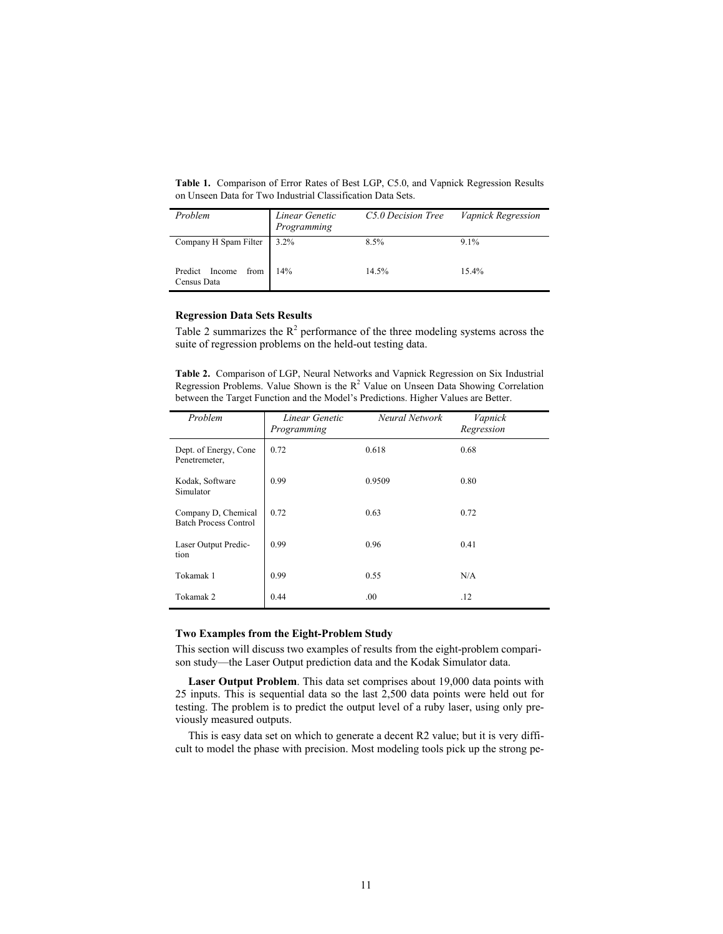**Table 1.** Comparison of Error Rates of Best LGP, C5.0, and Vapnick Regression Results on Unseen Data for Two Industrial Classification Data Sets.

| Problem                            | Linear Genetic<br>Programming | C5.0 Decision Tree | Vapnick Regression |
|------------------------------------|-------------------------------|--------------------|--------------------|
| Company H Spam Filter              | $3.2\%$                       | 8.5%               | 9.1%               |
| Predict Income from<br>Census Data | 14%                           | 14.5%              | 15.4%              |

### **Regression Data Sets Results**

Table 2 summarizes the  $R^2$  performance of the three modeling systems across the suite of regression problems on the held-out testing data.

**Table 2.** Comparison of LGP, Neural Networks and Vapnick Regression on Six Industrial Regression Problems. Value Shown is the  $R^2$  Value on Unseen Data Showing Correlation between the Target Function and the Model's Predictions. Higher Values are Better.

| Problem                                             | Linear Genetic<br>Programming | Neural Network | Vapnick<br>Regression |
|-----------------------------------------------------|-------------------------------|----------------|-----------------------|
| Dept. of Energy, Cone<br>Penetremeter,              | 0.72                          | 0.618          | 0.68                  |
| Kodak, Software<br>Simulator                        | 0.99                          | 0.9509         | 0.80                  |
| Company D, Chemical<br><b>Batch Process Control</b> | 0.72                          | 0.63           | 0.72                  |
| Laser Output Predic-<br>tion                        | 0.99                          | 0.96           | 0.41                  |
| Tokamak 1                                           | 0.99                          | 0.55           | N/A                   |
| Tokamak 2                                           | 0.44                          | .00.           | .12                   |

### **Two Examples from the Eight-Problem Study**

This section will discuss two examples of results from the eight-problem comparison study—the Laser Output prediction data and the Kodak Simulator data.

**Laser Output Problem**. This data set comprises about 19,000 data points with 25 inputs. This is sequential data so the last 2,500 data points were held out for testing. The problem is to predict the output level of a ruby laser, using only previously measured outputs.

This is easy data set on which to generate a decent R2 value; but it is very difficult to model the phase with precision. Most modeling tools pick up the strong pe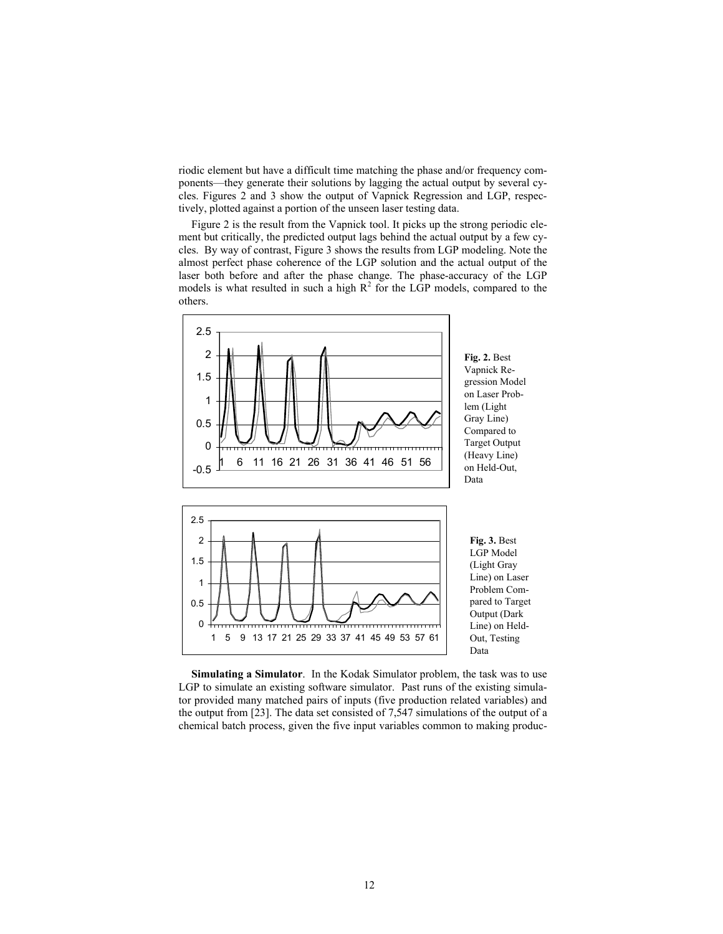riodic element but have a difficult time matching the phase and/or frequency components—they generate their solutions by lagging the actual output by several cycles. Figures 2 and 3 show the output of Vapnick Regression and LGP, respectively, plotted against a portion of the unseen laser testing data.

Figure 2 is the result from the Vapnick tool. It picks up the strong periodic element but critically, the predicted output lags behind the actual output by a few cycles. By way of contrast, Figure 3 shows the results from LGP modeling. Note the almost perfect phase coherence of the LGP solution and the actual output of the laser both before and after the phase change. The phase-accuracy of the LGP models is what resulted in such a high  $R^2$  for the LGP models, compared to the others.



**Simulating a Simulator**. In the Kodak Simulator problem, the task was to use LGP to simulate an existing software simulator. Past runs of the existing simulator provided many matched pairs of inputs (five production related variables) and the output from [23]. The data set consisted of 7,547 simulations of the output of a chemical batch process, given the five input variables common to making produc-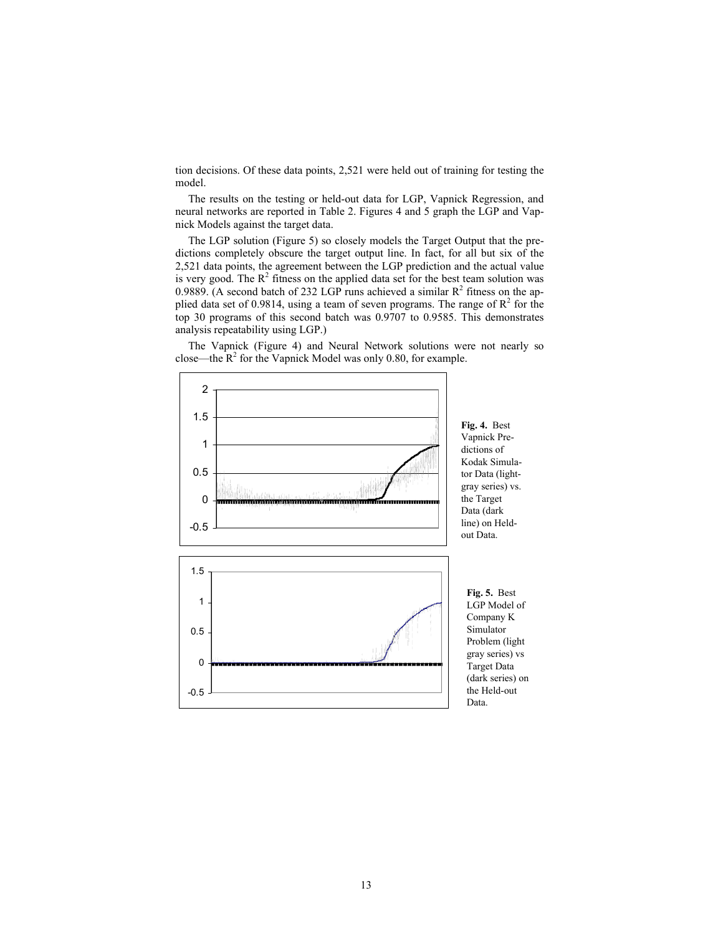tion decisions. Of these data points, 2,521 were held out of training for testing the model.

The results on the testing or held-out data for LGP, Vapnick Regression, and neural networks are reported in Table 2. Figures 4 and 5 graph the LGP and Vapnick Models against the target data.

The LGP solution (Figure 5) so closely models the Target Output that the predictions completely obscure the target output line. In fact, for all but six of the 2,521 data points, the agreement between the LGP prediction and the actual value is very good. The  $R^2$  fitness on the applied data set for the best team solution was 0.9889. (A second batch of 232 LGP runs achieved a similar  $R^2$  fitness on the applied data set of 0.9814, using a team of seven programs. The range of  $R^2$  for the top 30 programs of this second batch was 0.9707 to 0.9585. This demonstrates analysis repeatability using LGP.)



The Vapnick (Figure 4) and Neural Network solutions were not nearly so close—the  $R^2$  for the Vapnick Model was only 0.80, for example.

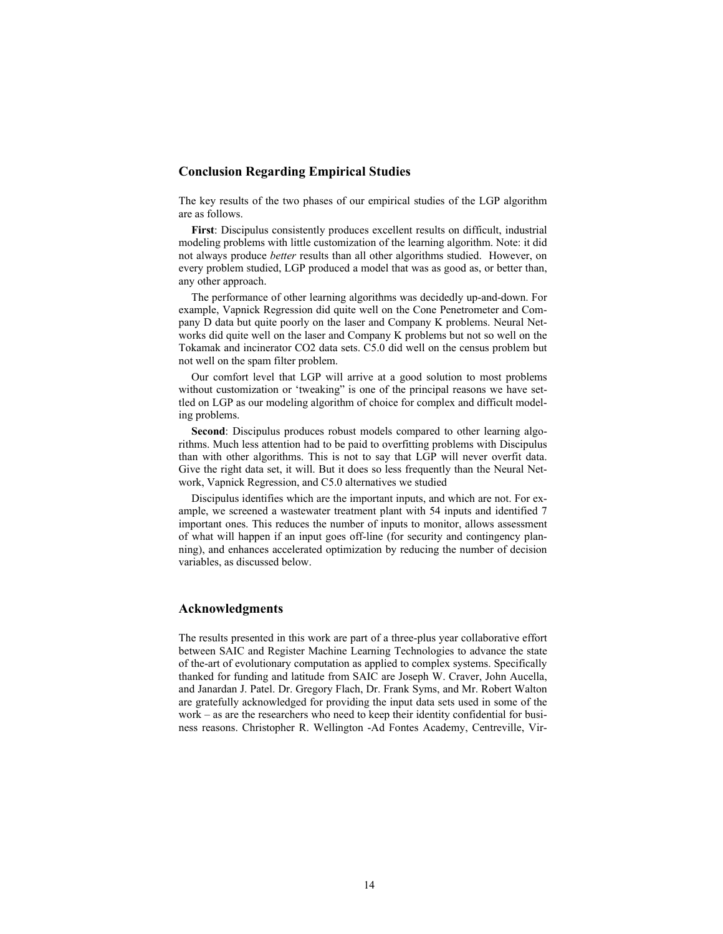# **Conclusion Regarding Empirical Studies**

The key results of the two phases of our empirical studies of the LGP algorithm are as follows.

**First**: Discipulus consistently produces excellent results on difficult, industrial modeling problems with little customization of the learning algorithm. Note: it did not always produce *better* results than all other algorithms studied. However, on every problem studied, LGP produced a model that was as good as, or better than, any other approach.

The performance of other learning algorithms was decidedly up-and-down. For example, Vapnick Regression did quite well on the Cone Penetrometer and Company D data but quite poorly on the laser and Company K problems. Neural Networks did quite well on the laser and Company K problems but not so well on the Tokamak and incinerator CO2 data sets. C5.0 did well on the census problem but not well on the spam filter problem.

Our comfort level that LGP will arrive at a good solution to most problems without customization or 'tweaking' is one of the principal reasons we have settled on LGP as our modeling algorithm of choice for complex and difficult modeling problems.

**Second**: Discipulus produces robust models compared to other learning algorithms. Much less attention had to be paid to overfitting problems with Discipulus than with other algorithms. This is not to say that LGP will never overfit data. Give the right data set, it will. But it does so less frequently than the Neural Network, Vapnick Regression, and C5.0 alternatives we studied

Discipulus identifies which are the important inputs, and which are not. For example, we screened a wastewater treatment plant with 54 inputs and identified 7 important ones. This reduces the number of inputs to monitor, allows assessment of what will happen if an input goes off-line (for security and contingency planning), and enhances accelerated optimization by reducing the number of decision variables, as discussed below.

### **Acknowledgments**

The results presented in this work are part of a three-plus year collaborative effort between SAIC and Register Machine Learning Technologies to advance the state of the-art of evolutionary computation as applied to complex systems. Specifically thanked for funding and latitude from SAIC are Joseph W. Craver, John Aucella, and Janardan J. Patel. Dr. Gregory Flach, Dr. Frank Syms, and Mr. Robert Walton are gratefully acknowledged for providing the input data sets used in some of the work – as are the researchers who need to keep their identity confidential for business reasons. Christopher R. Wellington -Ad Fontes Academy, Centreville, Vir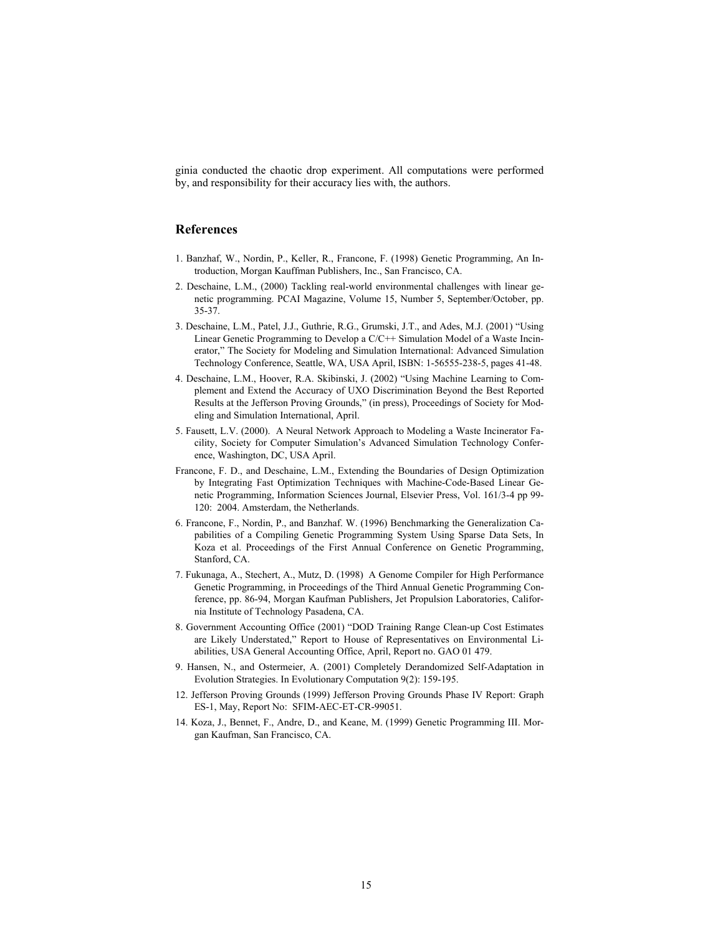ginia conducted the chaotic drop experiment. All computations were performed by, and responsibility for their accuracy lies with, the authors.

# **References**

- 1. Banzhaf, W., Nordin, P., Keller, R., Francone, F. (1998) Genetic Programming, An Introduction, Morgan Kauffman Publishers, Inc., San Francisco, CA.
- 2. Deschaine, L.M., (2000) Tackling real-world environmental challenges with linear genetic programming. PCAI Magazine, Volume 15, Number 5, September/October, pp. 35-37.
- 3. Deschaine, L.M., Patel, J.J., Guthrie, R.G., Grumski, J.T., and Ades, M.J. (2001) "Using Linear Genetic Programming to Develop a C/C++ Simulation Model of a Waste Incinerator," The Society for Modeling and Simulation International: Advanced Simulation Technology Conference, Seattle, WA, USA April, ISBN: 1-56555-238-5, pages 41-48.
- 4. Deschaine, L.M., Hoover, R.A. Skibinski, J. (2002) "Using Machine Learning to Complement and Extend the Accuracy of UXO Discrimination Beyond the Best Reported Results at the Jefferson Proving Grounds," (in press), Proceedings of Society for Modeling and Simulation International, April.
- 5. Fausett, L.V. (2000). A Neural Network Approach to Modeling a Waste Incinerator Facility, Society for Computer Simulation's Advanced Simulation Technology Conference, Washington, DC, USA April.
- Francone, F. D., and Deschaine, L.M., Extending the Boundaries of Design Optimization by Integrating Fast Optimization Techniques with Machine-Code-Based Linear Genetic Programming, Information Sciences Journal, Elsevier Press, Vol. 161/3-4 pp 99- 120: 2004. Amsterdam, the Netherlands.
- 6. Francone, F., Nordin, P., and Banzhaf. W. (1996) Benchmarking the Generalization Capabilities of a Compiling Genetic Programming System Using Sparse Data Sets, In Koza et al. Proceedings of the First Annual Conference on Genetic Programming, Stanford, CA.
- 7. Fukunaga, A., Stechert, A., Mutz, D. (1998) A Genome Compiler for High Performance Genetic Programming, in Proceedings of the Third Annual Genetic Programming Conference, pp. 86-94, Morgan Kaufman Publishers, Jet Propulsion Laboratories, California Institute of Technology Pasadena, CA.
- 8. Government Accounting Office (2001) "DOD Training Range Clean-up Cost Estimates are Likely Understated," Report to House of Representatives on Environmental Liabilities, USA General Accounting Office, April, Report no. GAO 01 479.
- 9. Hansen, N., and Ostermeier, A. (2001) Completely Derandomized Self-Adaptation in Evolution Strategies. In Evolutionary Computation 9(2): 159-195.
- 12. Jefferson Proving Grounds (1999) Jefferson Proving Grounds Phase IV Report: Graph ES-1, May, Report No: SFIM-AEC-ET-CR-99051.
- 14. Koza, J., Bennet, F., Andre, D., and Keane, M. (1999) Genetic Programming III. Morgan Kaufman, San Francisco, CA.